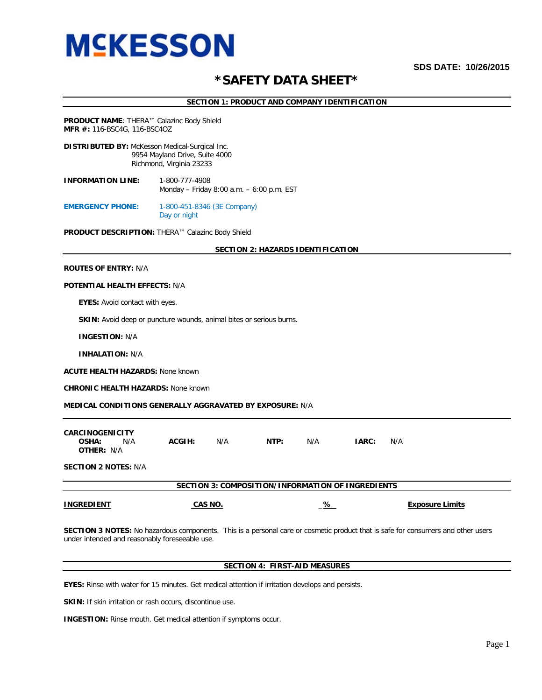# **SDS DATE: 10/26/2015**

# **\*SAFETY DATA SHEET\***

**SECTION 1: PRODUCT AND COMPANY IDENTIFICATION**

**PRODUCT NAME**: THERA™ Calazinc Body Shield **MFR #:** 116-BSC4G, 116-BSC4OZ

**DISTRIBUTED BY:** McKesson Medical-Surgical Inc. 9954 Mayland Drive, Suite 4000 Richmond, Virginia 23233

**INFORMATION LINE:** 1-800-777-4908 Monday – Friday 8:00 a.m. – 6:00 p.m. EST

**EMERGENCY PHONE:** 1-800-451-8346 (3E Company) Day or night

**PRODUCT DESCRIPTION:** THERA™ Calazinc Body Shield

# **SECTION 2: HAZARDS IDENTIFICATION**

# **ROUTES OF ENTRY:** N/A

# **POTENTIAL HEALTH EFFECTS:** N/A

 **EYES:** Avoid contact with eyes.

**SKIN:** Avoid deep or puncture wounds, animal bites or serious burns.

 **INGESTION:** N/A

 **INHALATION:** N/A

**ACUTE HEALTH HAZARDS:** None known

**CHRONIC HEALTH HAZARDS:** None known

### **MEDICAL CONDITIONS GENERALLY AGGRAVATED BY EXPOSURE:** N/A

| <b>CARCINOGENICITY</b><br>N/A<br>OSHA:<br><b>OTHER: N/A</b> | ACGIH: | N/A | NTP: | N/A | <b>IARC:</b> | N/A |
|-------------------------------------------------------------|--------|-----|------|-----|--------------|-----|
| <b>SECTION 2 NOTES: N/A</b>                                 |        |     |      |     |              |     |

**SECTION 3: COMPOSITION/INFORMATION OF INGREDIENTS**

| <b>INGREDIENT</b> | CAS NO | ℅ | <b>Exposure Limits</b> |
|-------------------|--------|---|------------------------|
|                   |        |   |                        |

**SECTION 3 NOTES:** No hazardous components. This is a personal care or cosmetic product that is safe for consumers and other users under intended and reasonably foreseeable use.

# **SECTION 4: FIRST-AID MEASURES**

**EYES:** Rinse with water for 15 minutes. Get medical attention if irritation develops and persists.

**SKIN:** If skin irritation or rash occurs, discontinue use.

**INGESTION:** Rinse mouth. Get medical attention if symptoms occur.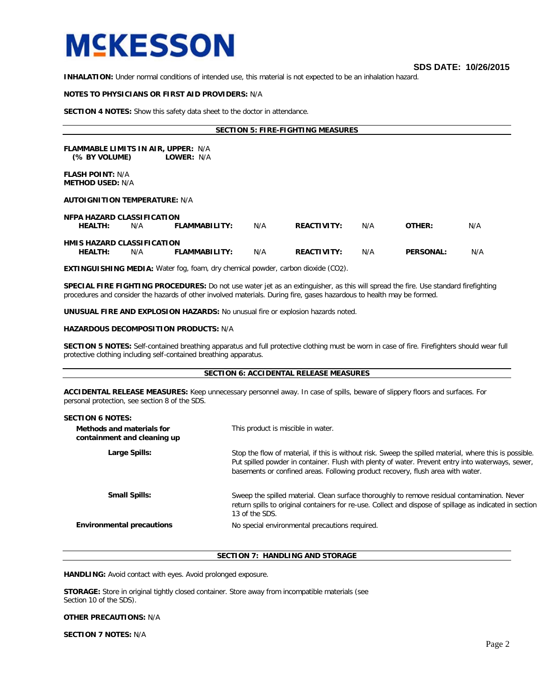**SDS DATE: 10/26/2015** 

**INHALATION:** Under normal conditions of intended use, this material is not expected to be an inhalation hazard.

# **NOTES TO PHYSICIANS OR FIRST AID PROVIDERS:** N/A

**SECTION 4 NOTES:** Show this safety data sheet to the doctor in attendance.

**SECTION 5: FIRE-FIGHTING MEASURES**

**FLAMMABLE LIMITS IN AIR, UPPER:** N/A<br>(% BY VOLUME) LOWER: N/A **(% BY VOLUME)** 

**FLASH POINT:** N/A **METHOD USED:** N/A

# **AUTOIGNITION TEMPERATURE:** N/A

| NFPA HAZARD CLASSIFICATION        |     |               |     |                    |     |                  |     |
|-----------------------------------|-----|---------------|-----|--------------------|-----|------------------|-----|
| <b>HEALTH:</b>                    | N/A | FLAMMABILITY: | N/A | <b>REACTIVITY:</b> | N/A | OTHER:           | N/A |
|                                   |     |               |     |                    |     |                  |     |
| <b>HMIS HAZARD CLASSIFICATION</b> |     |               |     |                    |     |                  |     |
| <b>HEALTH:</b>                    | N/A | FLAMMABILITY: | N/A | <b>REACTIVITY:</b> | N/A | <b>PERSONAL:</b> | N/A |
|                                   |     |               |     |                    |     |                  |     |

**EXTINGUISHING MEDIA:** Water fog, foam, dry chemical powder, carbon dioxide (CO2).

**SPECIAL FIRE FIGHTING PROCEDURES:** Do not use water jet as an extinguisher, as this will spread the fire. Use standard firefighting procedures and consider the hazards of other involved materials. During fire, gases hazardous to health may be formed.

**UNUSUAL FIRE AND EXPLOSION HAZARDS:** No unusual fire or explosion hazards noted.

# **HAZARDOUS DECOMPOSITION PRODUCTS:** N/A

**SECTION 5 NOTES:** Self-contained breathing apparatus and full protective clothing must be worn in case of fire. Firefighters should wear full protective clothing including self-contained breathing apparatus.

# **SECTION 6: ACCIDENTAL RELEASE MEASURES**

**ACCIDENTAL RELEASE MEASURES:** Keep unnecessary personnel away. In case of spills, beware of slippery floors and surfaces. For personal protection, see section 8 of the SDS.

| <b>SECTION 6 NOTES:</b>                                  |                                                                                                                                                                                                                                                                                                 |
|----------------------------------------------------------|-------------------------------------------------------------------------------------------------------------------------------------------------------------------------------------------------------------------------------------------------------------------------------------------------|
| Methods and materials for<br>containment and cleaning up | This product is miscible in water.                                                                                                                                                                                                                                                              |
| Large Spills:                                            | Stop the flow of material, if this is without risk. Sweep the spilled material, where this is possible.<br>Put spilled powder in container. Flush with plenty of water. Prevent entry into waterways, sewer,<br>basements or confined areas. Following product recovery, flush area with water. |
| <b>Small Spills:</b>                                     | Sweep the spilled material. Clean surface thoroughly to remove residual contamination. Never<br>return spills to original containers for re-use. Collect and dispose of spillage as indicated in section<br>13 of the SDS.                                                                      |
| <b>Environmental precautions</b>                         | No special environmental precautions required.                                                                                                                                                                                                                                                  |
|                                                          |                                                                                                                                                                                                                                                                                                 |

# **SECTION 7: HANDLING AND STORAGE**

**HANDLING:** Avoid contact with eyes. Avoid prolonged exposure.

**STORAGE:** Store in original tightly closed container. Store away from incompatible materials (see Section 10 of the SDS).

# **OTHER PRECAUTIONS:** N/A

**SECTION 7 NOTES:** N/A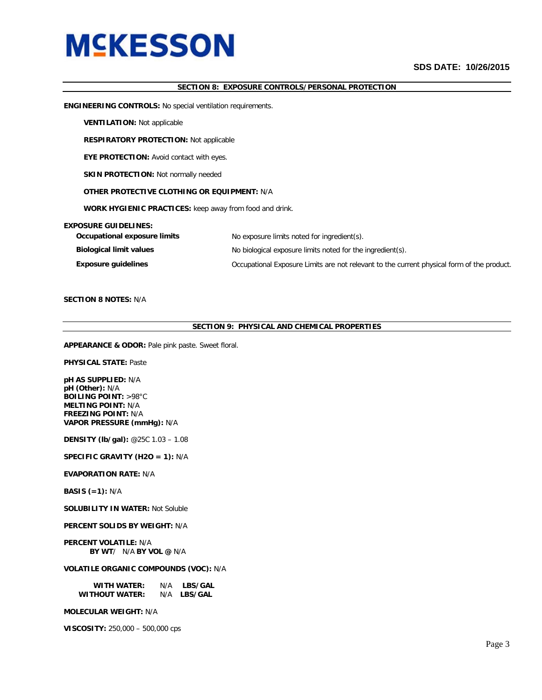# **SDS DATE: 10/26/2015**

# **SECTION 8: EXPOSURE CONTROLS/PERSONAL PROTECTION**

**ENGINEERING CONTROLS:** No special ventilation requirements.

**VENTILATION:** Not applicable

**RESPIRATORY PROTECTION:** Not applicable

**EYE PROTECTION:** Avoid contact with eyes.

**SKIN PROTECTION:** Not normally needed

# **OTHER PROTECTIVE CLOTHING OR EQUIPMENT:** N/A

**WORK HYGIENIC PRACTICES:** keep away from food and drink.

# **EXPOSURE GUIDELINES:**

| Occupational exposure limits   | No exposure limits noted for ingredient(s).                                                |  |  |
|--------------------------------|--------------------------------------------------------------------------------------------|--|--|
| <b>Biological limit values</b> | No biological exposure limits noted for the ingredient(s).                                 |  |  |
| <b>Exposure guidelines</b>     | Occupational Exposure Limits are not relevant to the current physical form of the product. |  |  |

# **SECTION 8 NOTES:** N/A

# **SECTION 9: PHYSICAL AND CHEMICAL PROPERTIES**

**APPEARANCE & ODOR:** Pale pink paste. Sweet floral.

**PHYSICAL STATE:** Paste

**pH AS SUPPLIED:** N/A **pH (Other):** N/A **BOILING POINT:** >98°C **MELTING POINT:** N/A **FREEZING POINT:** N/A **VAPOR PRESSURE (mmHg):** N/A

**DENSITY (lb/gal):** @25C 1.03 – 1.08

**SPECIFIC GRAVITY (H2O = 1):** N/A

# **EVAPORATION RATE:** N/A

**BASIS (=1):** N/A

**SOLUBILITY IN WATER:** Not Soluble

# **PERCENT SOLIDS BY WEIGHT:** N/A

**PERCENT VOLATILE:** N/A  **BY WT**/ N/A **BY VOL @** N/A

# **VOLATILE ORGANIC COMPOUNDS (VOC):** N/A

| <b>WITH WATER:</b>    | N/A | <b>LBS/GAL</b> |
|-----------------------|-----|----------------|
| <b>WITHOUT WATER:</b> | N/A | <b>LBS/GAL</b> |

**MOLECULAR WEIGHT:** N/A

**VISCOSITY:** 250,000 – 500,000 cps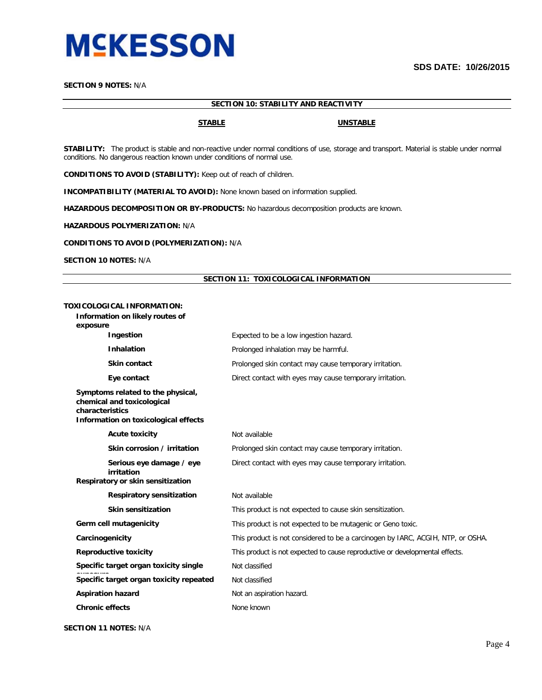

# **SECTION 9 NOTES:** N/A

# **SECTION 10: STABILITY AND REACTIVITY**

# **STABLE UNSTABLE**

**STABILITY:** The product is stable and non-reactive under normal conditions of use, storage and transport. Material is stable under normal conditions. No dangerous reaction known under conditions of normal use.

**CONDITIONS TO AVOID (STABILITY):** Keep out of reach of children.

**INCOMPATIBILITY (MATERIAL TO AVOID):** None known based on information supplied.

**HAZARDOUS DECOMPOSITION OR BY-PRODUCTS:** No hazardous decomposition products are known.

**HAZARDOUS POLYMERIZATION:** N/A

# **CONDITIONS TO AVOID (POLYMERIZATION):** N/A

**SECTION 10 NOTES:** N/A

# **SECTION 11: TOXICOLOGICAL INFORMATION**

# **TOXICOLOGICAL INFORMATION:**

**Information on likely routes of** 

**exposure**

| Ingestion                                                                                                                  | Expected to be a low ingestion hazard.                                          |  |  |
|----------------------------------------------------------------------------------------------------------------------------|---------------------------------------------------------------------------------|--|--|
| <b>Inhalation</b>                                                                                                          | Prolonged inhalation may be harmful.                                            |  |  |
| <b>Skin contact</b>                                                                                                        | Prolonged skin contact may cause temporary irritation.                          |  |  |
| Eye contact                                                                                                                | Direct contact with eyes may cause temporary irritation.                        |  |  |
| Symptoms related to the physical,<br>chemical and toxicological<br>characteristics<br>Information on toxicological effects |                                                                                 |  |  |
| <b>Acute toxicity</b>                                                                                                      | Not available                                                                   |  |  |
| Skin corrosion / irritation                                                                                                | Prolonged skin contact may cause temporary irritation.                          |  |  |
| Serious eye damage / eye<br>irritation                                                                                     | Direct contact with eyes may cause temporary irritation.                        |  |  |
| Respiratory or skin sensitization                                                                                          |                                                                                 |  |  |
| <b>Respiratory sensitization</b>                                                                                           | Not available                                                                   |  |  |
| <b>Skin sensitization</b>                                                                                                  | This product is not expected to cause skin sensitization.                       |  |  |
| Germ cell mutagenicity                                                                                                     | This product is not expected to be mutagenic or Geno toxic.                     |  |  |
| Carcinogenicity                                                                                                            | This product is not considered to be a carcinogen by IARC, ACGIH, NTP, or OSHA. |  |  |
| <b>Reproductive toxicity</b>                                                                                               | This product is not expected to cause reproductive or developmental effects.    |  |  |
| Specific target organ toxicity single                                                                                      | Not classified                                                                  |  |  |
| Specific target organ toxicity repeated                                                                                    | Not classified                                                                  |  |  |
| <b>Aspiration hazard</b>                                                                                                   | Not an aspiration hazard.                                                       |  |  |
| <b>Chronic effects</b>                                                                                                     | None known                                                                      |  |  |

# **SECTION 11 NOTES:** N/A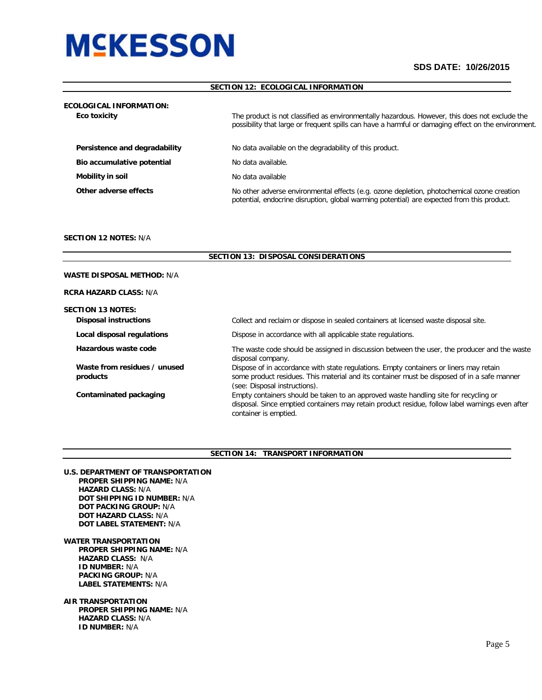# **SDS DATE: 10/26/2015**

# **SECTION 12: ECOLOGICAL INFORMATION**

| <b>ECOLOGICAL INFORMATION:</b> |                                                                                                                                                                                                       |  |  |
|--------------------------------|-------------------------------------------------------------------------------------------------------------------------------------------------------------------------------------------------------|--|--|
| Eco toxicity                   | The product is not classified as environmentally hazardous. However, this does not exclude the<br>possibility that large or frequent spills can have a harmful or damaging effect on the environment. |  |  |
| Persistence and degradability  | No data available on the degradability of this product.                                                                                                                                               |  |  |
| Bio accumulative potential     | No data available.                                                                                                                                                                                    |  |  |
| Mobility in soil               | No data available                                                                                                                                                                                     |  |  |
| Other adverse effects          | No other adverse environmental effects (e.g. ozone depletion, photochemical ozone creation<br>potential, endocrine disruption, global warming potential) are expected from this product.              |  |  |

# **SECTION 12 NOTES:** N/A

L

|                                                          | <b>SECTION 13: DISPOSAL CONSIDERATIONS</b>                                                                                                                                                                             |
|----------------------------------------------------------|------------------------------------------------------------------------------------------------------------------------------------------------------------------------------------------------------------------------|
| <b>WASTE DISPOSAL METHOD:</b> N/A                        |                                                                                                                                                                                                                        |
| <b>RCRA HAZARD CLASS: N/A</b>                            |                                                                                                                                                                                                                        |
| <b>SECTION 13 NOTES:</b><br><b>Disposal instructions</b> | Collect and reclaim or dispose in sealed containers at licensed waste disposal site.                                                                                                                                   |
| Local disposal regulations                               | Dispose in accordance with all applicable state regulations.                                                                                                                                                           |
| Hazardous waste code                                     | The waste code should be assigned in discussion between the user, the producer and the waste<br>disposal company.                                                                                                      |
| Waste from residues / unused<br>products                 | Dispose of in accordance with state regulations. Empty containers or liners may retain<br>some product residues. This material and its container must be disposed of in a safe manner<br>(see: Disposal instructions). |
| Contaminated packaging                                   | Empty containers should be taken to an approved waste handling site for recycling or<br>disposal. Since emptied containers may retain product residue, follow label warnings even after<br>container is emptied.       |

# **SECTION 14: TRANSPORT INFORMATION**

- **U.S. DEPARTMENT OF TRANSPORTATION PROPER SHIPPING NAME:** N/A  **HAZARD CLASS:** N/A  **DOT SHIPPING ID NUMBER:** N/A  **DOT PACKING GROUP:** N/A  **DOT HAZARD CLASS:** N/A  **DOT LABEL STATEMENT:** N/A
- **WATER TRANSPORTATION PROPER SHIPPING NAME:** N/A  **HAZARD CLASS:** N/A  **ID NUMBER:** N/A  **PACKING GROUP:** N/A  **LABEL STATEMENTS:** N/A
- **AIR TRANSPORTATION PROPER SHIPPING NAME:** N/A  **HAZARD CLASS:** N/A  **ID NUMBER:** N/A